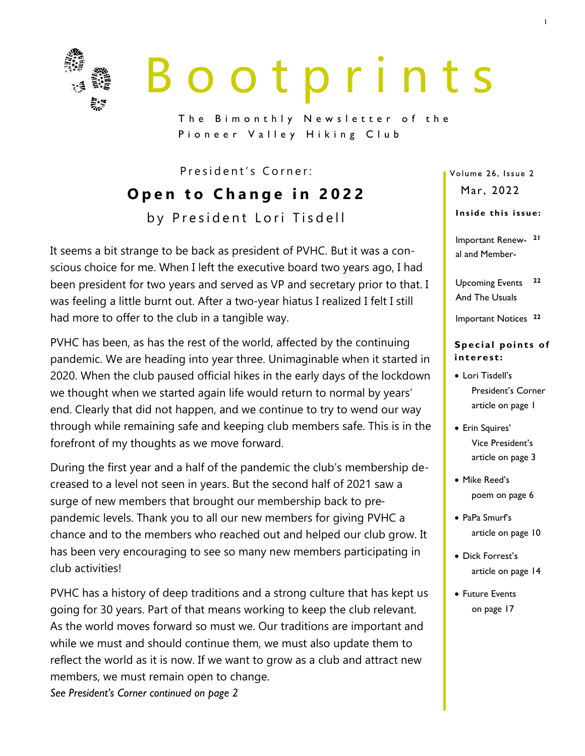

# B o o t p r i n t s

The Bimonthly Newsletter of the Pioneer Valley Hiking Club

President's Corner:

**Open to Change in 2022** by President Lori Tisdell

It seems a bit strange to be back as president of PVHC. But it was a conscious choice for me. When I left the executive board two years ago, I had been president for two years and served as VP and secretary prior to that. I was feeling a little burnt out. After a two-year hiatus I realized I felt I still had more to offer to the club in a tangible way.

PVHC has been, as has the rest of the world, affected by the continuing pandemic. We are heading into year three. Unimaginable when it started in 2020. When the club paused official hikes in the early days of the lockdown we thought when we started again life would return to normal by years' end. Clearly that did not happen, and we continue to try to wend our way through while remaining safe and keeping club members safe. This is in the forefront of my thoughts as we move forward.

During the first year and a half of the pandemic the club's membership decreased to a level not seen in years. But the second half of 2021 saw a surge of new members that brought our membership back to prepandemic levels. Thank you to all our new members for giving PVHC a chance and to the members who reached out and helped our club grow. It has been very encouraging to see so many new members participating in club activities!

PVHC has a history of deep traditions and a strong culture that has kept us going for 30 years. Part of that means working to keep the club relevant. As the world moves forward so must we. Our traditions are important and while we must and should continue them, we must also update them to reflect the world as it is now. If we want to grow as a club and attract new members, we must remain open to change. *See President's Corner continued on page 2*

Volume 26, Issue 2 Mar, 2022

### Inside this issue:

Important Renew-**21** al and Member-

Upcoming Events And The Usuals **22**

Important Notices **<sup>22</sup>**

### **Special points of i n t e re st:**

- Lori Tisdell's President's Corner article on page 1
- Erin Squires' Vice President's article on page 3
- Mike Reed's poem on page 6
- PaPa Smurf's article on page 10
- Dick Forrest's article on page 14
- Future Events on page 17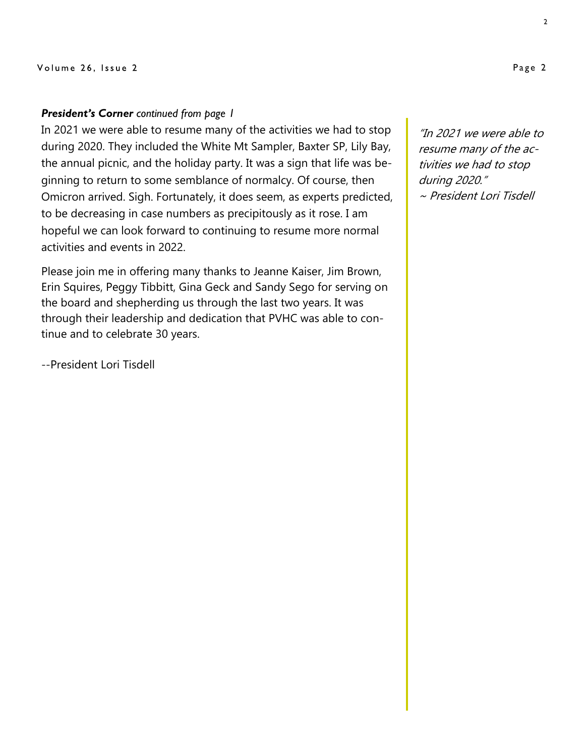### *President's Corner continued from page 1*

In 2021 we were able to resume many of the activities we had to stop during 2020. They included the White Mt Sampler, Baxter SP, Lily Bay, the annual picnic, and the holiday party. It was a sign that life was beginning to return to some semblance of normalcy. Of course, then Omicron arrived. Sigh. Fortunately, it does seem, as experts predicted, to be decreasing in case numbers as precipitously as it rose. I am hopeful we can look forward to continuing to resume more normal activities and events in 2022.

Please join me in offering many thanks to Jeanne Kaiser, Jim Brown, Erin Squires, Peggy Tibbitt, Gina Geck and Sandy Sego for serving on the board and shepherding us through the last two years. It was through their leadership and dedication that PVHC was able to continue and to celebrate 30 years.

--President Lori Tisdell

"In 2021 we were able to resume many of the activities we had to stop during 2020." ~ President Lori Tisdell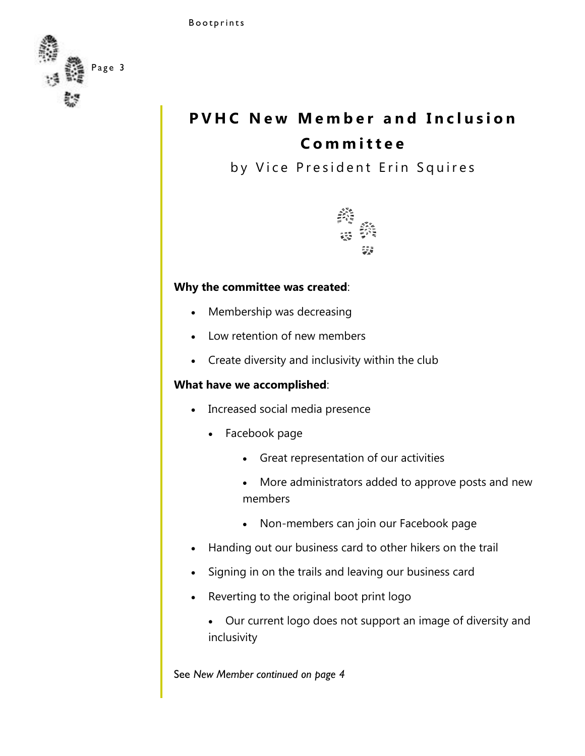

### **PVHC New Member and Inclusion C o m m i t t e e**

by Vice President Erin Squires



### **Why the committee was created**:

- Membership was decreasing
- Low retention of new members
- Create diversity and inclusivity within the club

### **What have we accomplished**:

- Increased social media presence
	- Facebook page
		- Great representation of our activities
		- More administrators added to approve posts and new members
		- Non-members can join our Facebook page
- Handing out our business card to other hikers on the trail
- Signing in on the trails and leaving our business card
- Reverting to the original boot print logo
	- Our current logo does not support an image of diversity and inclusivity

See *New Member continued on page 4*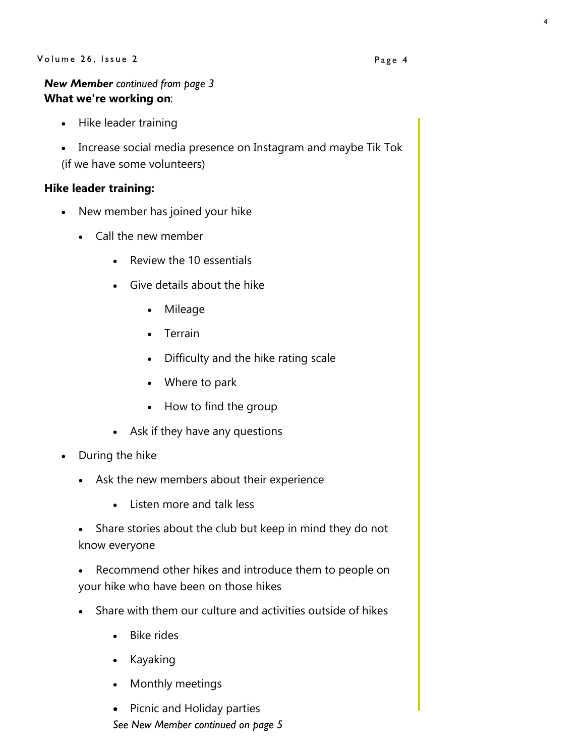### Volume 26, Issue 2

### *New Member continued from page 3* **What we're working on**:

- Hike leader training
- Increase social media presence on Instagram and maybe Tik Tok (if we have some volunteers)

### **Hike leader training:**

- New member has joined your hike
	- Call the new member
		- Review the 10 essentials
		- Give details about the hike
			- Mileage
			- Terrain
			- Difficulty and the hike rating scale
			- Where to park
			- How to find the group
		- Ask if they have any questions
- During the hike
	- Ask the new members about their experience
		- Listen more and talk less
	- Share stories about the club but keep in mind they do not know everyone
	- Recommend other hikes and introduce them to people on your hike who have been on those hikes
	- Share with them our culture and activities outside of hikes
		- Bike rides
		- Kayaking
		- Monthly meetings
		- Picnic and Holiday parties *See New Member continued on page 5*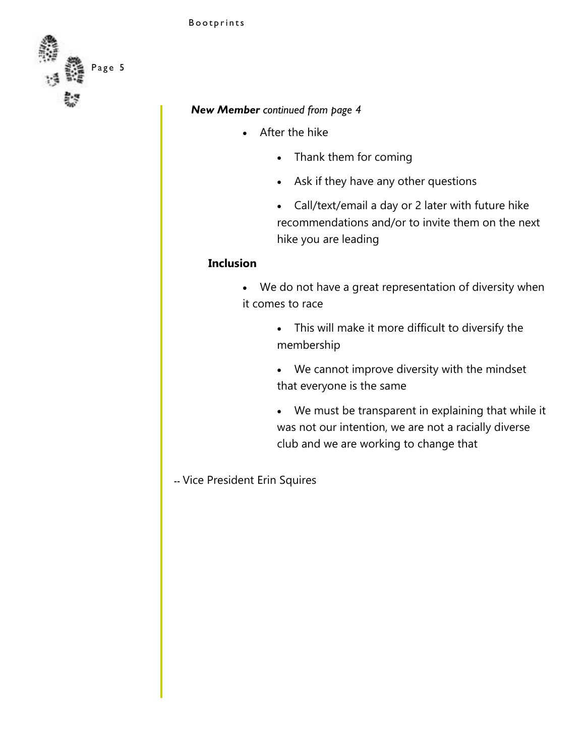

### *New Member continued from page 4*

- After the hike
	- Thank them for coming
	- Ask if they have any other questions
	- Call/text/email a day or 2 later with future hike recommendations and/or to invite them on the next hike you are leading

### **Inclusion**

- We do not have a great representation of diversity when it comes to race
	- This will make it more difficult to diversify the membership
	- We cannot improve diversity with the mindset that everyone is the same
	- We must be transparent in explaining that while it was not our intention, we are not a racially diverse club and we are working to change that
- -- Vice President Erin Squires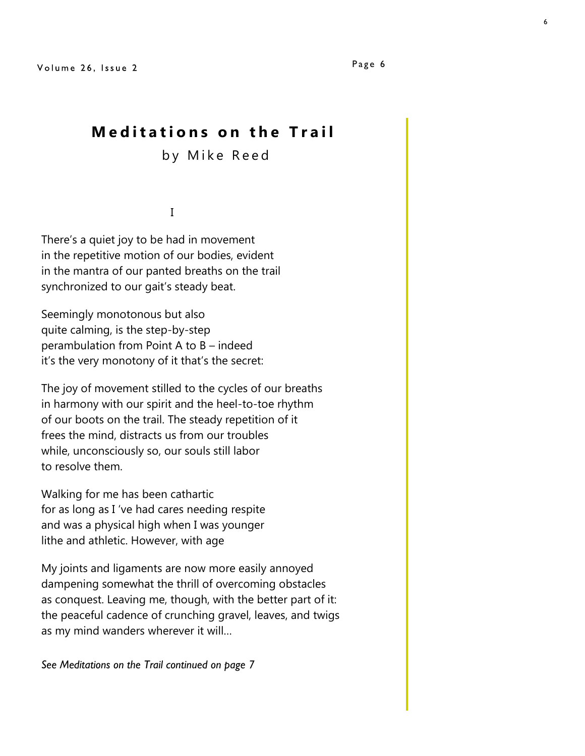### **Meditations on the Trail**

by Mike Reed

I

There's a quiet joy to be had in movement in the repetitive motion of our bodies, evident in the mantra of our panted breaths on the trail synchronized to our gait's steady beat.

Seemingly monotonous but also quite calming, is the step-by-step perambulation from Point A to B – indeed it's the very monotony of it that's the secret:

The joy of movement stilled to the cycles of our breaths in harmony with our spirit and the heel-to-toe rhythm of our boots on the trail. The steady repetition of it frees the mind, distracts us from our troubles while, unconsciously so, our souls still labor to resolve them.

Walking for me has been cathartic for as long as I 've had cares needing respite and was a physical high when I was younger lithe and athletic. However, with age

My joints and ligaments are now more easily annoyed dampening somewhat the thrill of overcoming obstacles as conquest. Leaving me, though, with the better part of it: the peaceful cadence of crunching gravel, leaves, and twigs as my mind wanders wherever it will…

*See Meditations on the Trail continued on page 7*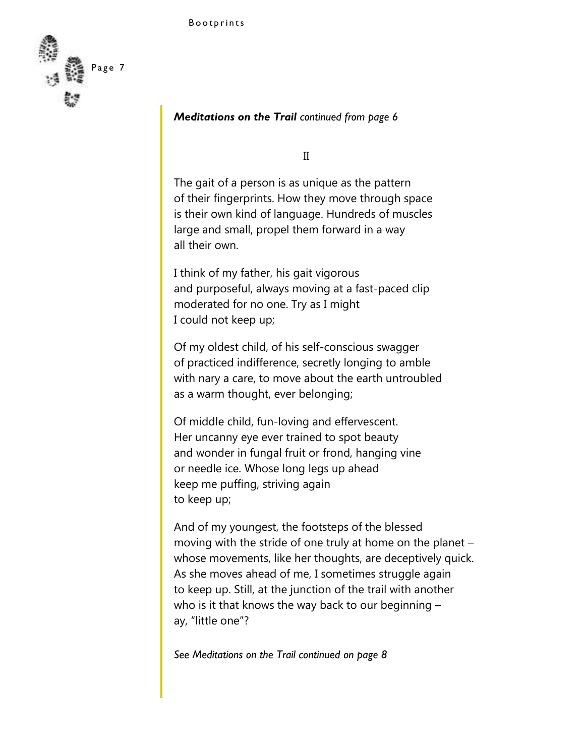

### *Meditations on the Trail continued from page 6*

II

The gait of a person is as unique as the pattern of their fingerprints. How they move through space is their own kind of language. Hundreds of muscles large and small, propel them forward in a way all their own.

I think of my father, his gait vigorous and purposeful, always moving at a fast-paced clip moderated for no one. Try as I might I could not keep up;

Of my oldest child, of his self-conscious swagger of practiced indifference, secretly longing to amble with nary a care, to move about the earth untroubled as a warm thought, ever belonging;

Of middle child, fun-loving and effervescent. Her uncanny eye ever trained to spot beauty and wonder in fungal fruit or frond, hanging vine or needle ice. Whose long legs up ahead keep me puffing, striving again to keep up;

And of my youngest, the footsteps of the blessed moving with the stride of one truly at home on the planet – whose movements, like her thoughts, are deceptively quick. As she moves ahead of me, I sometimes struggle again to keep up. Still, at the junction of the trail with another who is it that knows the way back to our beginning – ay, "little one"?

*See Meditations on the Trail continued on page 8*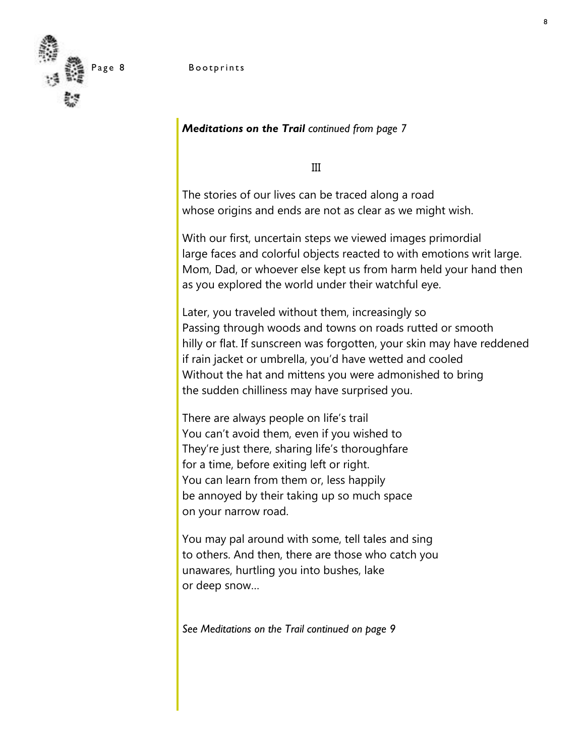

### Page 8 Bootprints

*Meditations on the Trail continued from page 7*

III

The stories of our lives can be traced along a road whose origins and ends are not as clear as we might wish.

With our first, uncertain steps we viewed images primordial large faces and colorful objects reacted to with emotions writ large. Mom, Dad, or whoever else kept us from harm held your hand then as you explored the world under their watchful eye.

Later, you traveled without them, increasingly so Passing through woods and towns on roads rutted or smooth hilly or flat. If sunscreen was forgotten, your skin may have reddened if rain jacket or umbrella, you'd have wetted and cooled Without the hat and mittens you were admonished to bring the sudden chilliness may have surprised you.

There are always people on life's trail You can't avoid them, even if you wished to They're just there, sharing life's thoroughfare for a time, before exiting left or right. You can learn from them or, less happily be annoyed by their taking up so much space on your narrow road.

You may pal around with some, tell tales and sing to others. And then, there are those who catch you unawares, hurtling you into bushes, lake or deep snow…

*See Meditations on the Trail continued on page 9*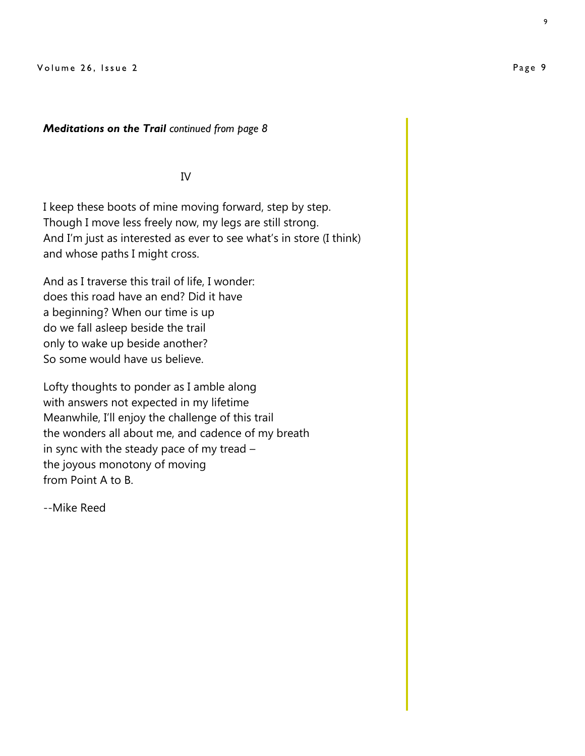### *Meditations on the Trail continued from page 8*

### IV

I keep these boots of mine moving forward, step by step. Though I move less freely now, my legs are still strong. And I'm just as interested as ever to see what's in store (I think) and whose paths I might cross.

And as I traverse this trail of life, I wonder: does this road have an end? Did it have a beginning? When our time is up do we fall asleep beside the trail only to wake up beside another? So some would have us believe.

Lofty thoughts to ponder as I amble along with answers not expected in my lifetime Meanwhile, I'll enjoy the challenge of this trail the wonders all about me, and cadence of my breath in sync with the steady pace of my tread – the joyous monotony of moving from Point A to B.

--Mike Reed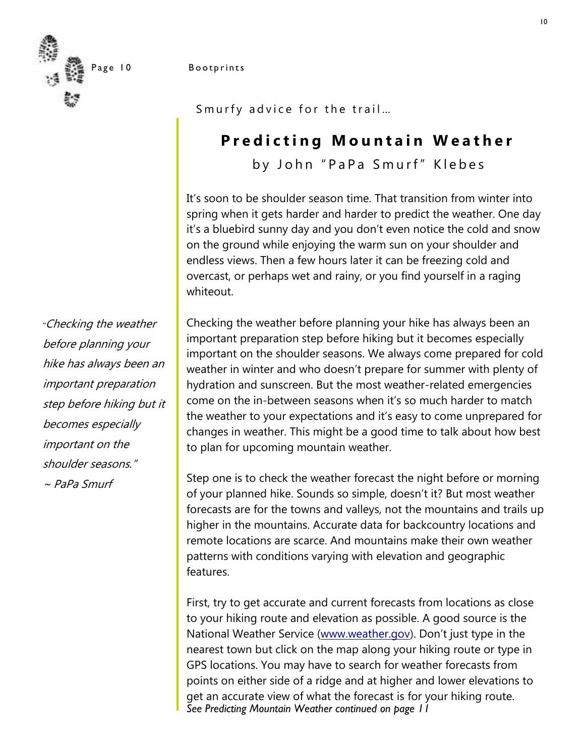### Page 10 Bootprints

Smurfy advice for the trail...

### **Predicting Mountain Weather**

by John "PaPa Smurf" Klebes

It's soon to be shoulder season time. That transition from winter into spring when it gets harder and harder to predict the weather. One day it's a bluebird sunny day and you don't even notice the cold and snow on the ground while enjoying the warm sun on your shoulder and endless views. Then a few hours later it can be freezing cold and overcast, or perhaps wet and rainy, or you find yourself in a raging whiteout.

Checking the weather before planning your hike has always been an important preparation step before hiking but it becomes especially important on the shoulder seasons. We always come prepared for cold weather in winter and who doesn't prepare for summer with plenty of hydration and sunscreen. But the most weather-related emergencies come on the in-between seasons when it's so much harder to match the weather to your expectations and it's easy to come unprepared for changes in weather. This might be a good time to talk about how best to plan for upcoming mountain weather.

Step one is to check the weather forecast the night before or morning of your planned hike. Sounds so simple, doesn't it? But most weather forecasts are for the towns and valleys, not the mountains and trails up higher in the mountains. Accurate data for backcountry locations and remote locations are scarce. And mountains make their own weather patterns with conditions varying with elevation and geographic features.

First, try to get accurate and current forecasts from locations as close to your hiking route and elevation as possible. A good source is the National Weather Service ([www.weather.gov](http://www.weather.gov/)). Don't just type in the nearest town but click on the map along your hiking route or type in GPS locations. You may have to search for weather forecasts from points on either side of a ridge and at higher and lower elevations to get an accurate view of what the forecast is for your hiking route. *See Predicting Mountain Weather continued on page 11*

*"*Checking the weather before planning your hike has always been an important preparation step before hiking but it becomes especially important on the shoulder seasons."  $\sim$  PaPa Smurf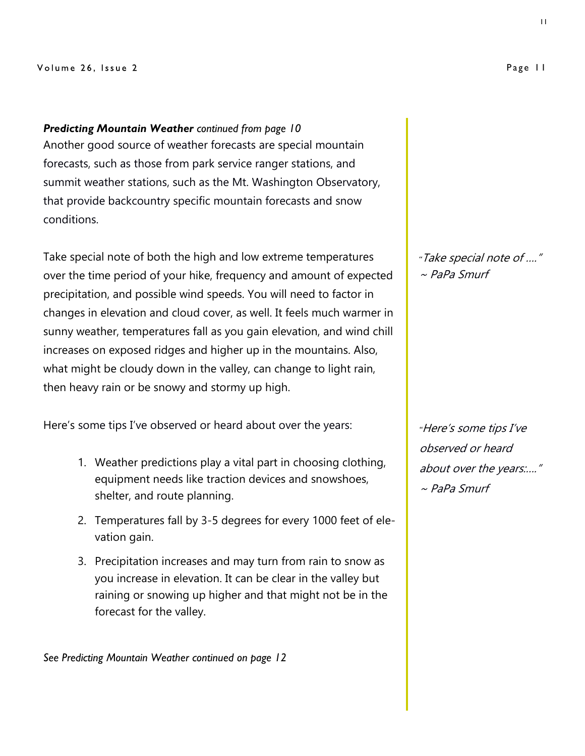#### Volume 26, Issue 2

*Predicting Mountain Weather continued from page 10* Another good source of weather forecasts are special mountain forecasts, such as those from park service ranger stations, and summit weather stations, such as the Mt. Washington Observatory, that provide backcountry specific mountain forecasts and snow conditions.

Take special note of both the high and low extreme temperatures over the time period of your hike, frequency and amount of expected precipitation, and possible wind speeds. You will need to factor in changes in elevation and cloud cover, as well. It feels much warmer in sunny weather, temperatures fall as you gain elevation, and wind chill increases on exposed ridges and higher up in the mountains. Also, what might be cloudy down in the valley, can change to light rain, then heavy rain or be snowy and stormy up high.

Here's some tips I've observed or heard about over the years:

- 1. Weather predictions play a vital part in choosing clothing, equipment needs like traction devices and snowshoes, shelter, and route planning.
- 2. Temperatures fall by 3-5 degrees for every 1000 feet of elevation gain.
- 3. Precipitation increases and may turn from rain to snow as you increase in elevation. It can be clear in the valley but raining or snowing up higher and that might not be in the forecast for the valley.

*See Predicting Mountain Weather continued on page 12*

*"*Take special note of …."  $\sim$  PaPa Smurf

*"*Here's some tips I've observed or heard about over the years:…." ~ PaPa Smurf

11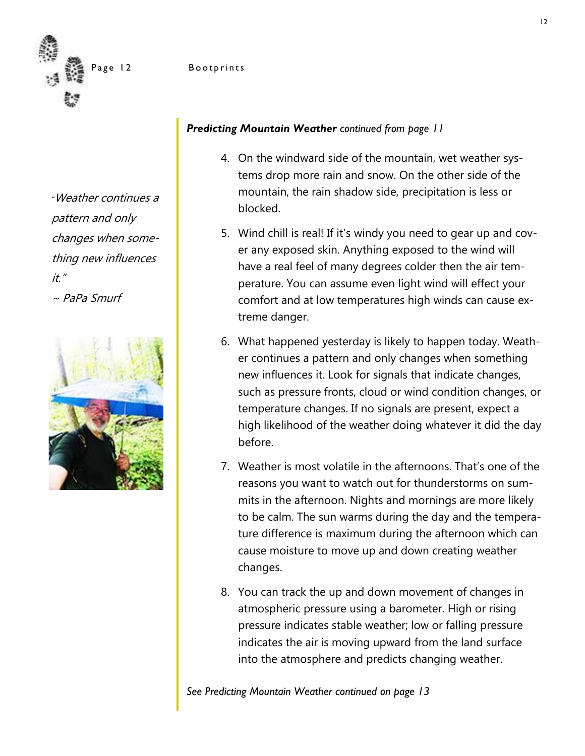

### Page 12 Bootprints

*"*Weather continues a pattern and only changes when something new influences it." ~ PaPa Smurf



### *Predicting Mountain Weather continued from page 11*

- 4. On the windward side of the mountain, wet weather systems drop more rain and snow. On the other side of the mountain, the rain shadow side, precipitation is less or blocked.
- 5. Wind chill is real! If it's windy you need to gear up and cover any exposed skin. Anything exposed to the wind will have a real feel of many degrees colder then the air temperature. You can assume even light wind will effect your comfort and at low temperatures high winds can cause extreme danger.
- 6. What happened yesterday is likely to happen today. Weather continues a pattern and only changes when something new influences it. Look for signals that indicate changes, such as pressure fronts, cloud or wind condition changes, or temperature changes. If no signals are present, expect a high likelihood of the weather doing whatever it did the day before.
- 7. Weather is most volatile in the afternoons. That's one of the reasons you want to watch out for thunderstorms on summits in the afternoon. Nights and mornings are more likely to be calm. The sun warms during the day and the temperature difference is maximum during the afternoon which can cause moisture to move up and down creating weather changes.
- 8. You can track the up and down movement of changes in atmospheric pressure using a barometer. High or rising pressure indicates stable weather; low or falling pressure indicates the air is moving upward from the land surface into the atmosphere and predicts changing weather.

*See Predicting Mountain Weather continued on page 13*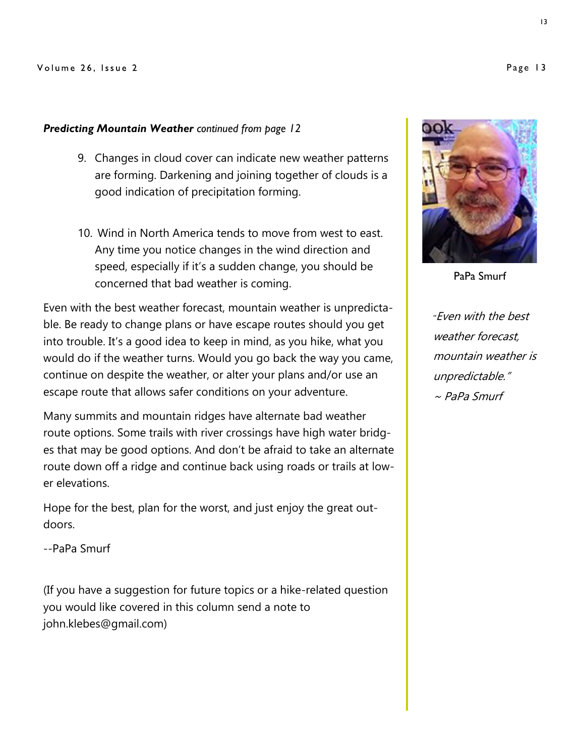### *Predicting Mountain Weather continued from page 12*

- 9. Changes in cloud cover can indicate new weather patterns are forming. Darkening and joining together of clouds is a good indication of precipitation forming.
- 10. Wind in North America tends to move from west to east. Any time you notice changes in the wind direction and speed, especially if it's a sudden change, you should be concerned that bad weather is coming.

Even with the best weather forecast, mountain weather is unpredictable. Be ready to change plans or have escape routes should you get into trouble. It's a good idea to keep in mind, as you hike, what you would do if the weather turns. Would you go back the way you came, continue on despite the weather, or alter your plans and/or use an escape route that allows safer conditions on your adventure.

Many summits and mountain ridges have alternate bad weather route options. Some trails with river crossings have high water bridges that may be good options. And don't be afraid to take an alternate route down off a ridge and continue back using roads or trails at lower elevations.

Hope for the best, plan for the worst, and just enjoy the great outdoors.

--PaPa Smurf

(If you have a suggestion for future topics or a hike-related question you would like covered in this column send a note to john.klebes@gmail.com)



PaPa Smurf

*"*Even with the best weather forecast, mountain weather is unpredictable."  $\sim$  PaPa Smurf

Page 13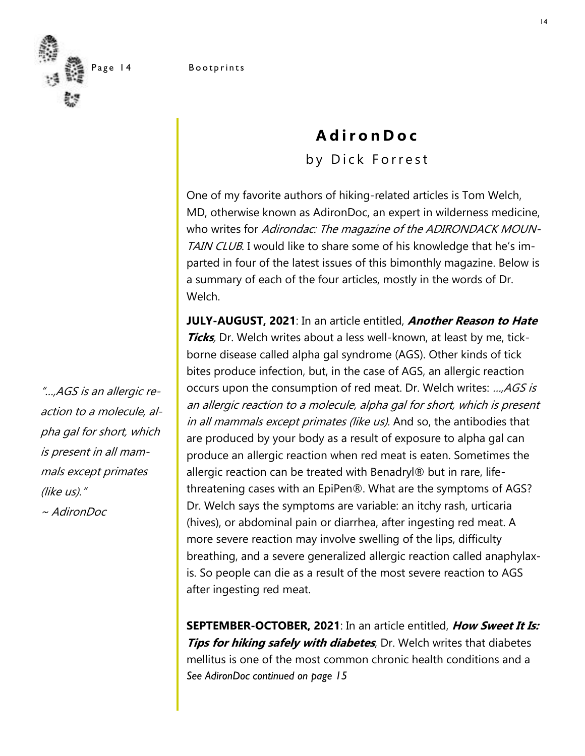

### **A d i r o n D o c** by Dick Forrest

One of my favorite authors of hiking-related articles is Tom Welch, MD, otherwise known as AdironDoc, an expert in wilderness medicine, who writes for Adirondac: The magazine of the ADIRONDACK MOUN-TAIN CLUB. I would like to share some of his knowledge that he's imparted in four of the latest issues of this bimonthly magazine. Below is a summary of each of the four articles, mostly in the words of Dr. Welch.

**JULY-AUGUST, 2021**: In an article entitled, **Another Reason to Hate Ticks**, Dr. Welch writes about a less well-known, at least by me, tickborne disease called alpha gal syndrome (AGS). Other kinds of tick bites produce infection, but, in the case of AGS, an allergic reaction occurs upon the consumption of red meat. Dr. Welch writes: ..., AGS is an allergic reaction to a molecule, alpha gal for short, which is present in all mammals except primates (like us). And so, the antibodies that are produced by your body as a result of exposure to alpha gal can produce an allergic reaction when red meat is eaten. Sometimes the allergic reaction can be treated with Benadryl® but in rare, lifethreatening cases with an EpiPen®. What are the symptoms of AGS? Dr. Welch says the symptoms are variable: an itchy rash, urticaria (hives), or abdominal pain or diarrhea, after ingesting red meat. A more severe reaction may involve swelling of the lips, difficulty breathing, and a severe generalized allergic reaction called anaphylaxis. So people can die as a result of the most severe reaction to AGS after ingesting red meat.

**SEPTEMBER-OCTOBER, 2021**: In an article entitled, **How Sweet It Is: Tips for hiking safely with diabetes**, Dr. Welch writes that diabetes mellitus is one of the most common chronic health conditions and a *See AdironDoc continued on page 15*

"…,AGS is an allergic reaction to a molecule, alpha gal for short, which is present in all mammals except primates (like us)." ~ AdironDoc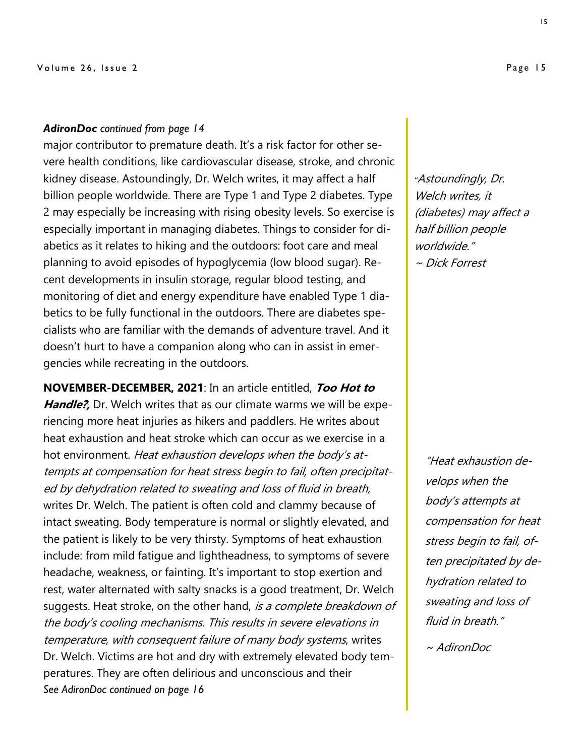### *AdironDoc continued from page 14*

major contributor to premature death. It's a risk factor for other severe health conditions, like cardiovascular disease, stroke, and chronic kidney disease. Astoundingly, Dr. Welch writes, it may affect a half billion people worldwide. There are Type 1 and Type 2 diabetes. Type 2 may especially be increasing with rising obesity levels. So exercise is especially important in managing diabetes. Things to consider for diabetics as it relates to hiking and the outdoors: foot care and meal planning to avoid episodes of hypoglycemia (low blood sugar). Recent developments in insulin storage, regular blood testing, and monitoring of diet and energy expenditure have enabled Type 1 diabetics to be fully functional in the outdoors. There are diabetes specialists who are familiar with the demands of adventure travel. And it doesn't hurt to have a companion along who can in assist in emergencies while recreating in the outdoors.

**NOVEMBER-DECEMBER, 2021**: In an article entitled, **Too Hot to**  Handle?, Dr. Welch writes that as our climate warms we will be experiencing more heat injuries as hikers and paddlers. He writes about heat exhaustion and heat stroke which can occur as we exercise in a hot environment. Heat exhaustion develops when the body's attempts at compensation for heat stress begin to fail, often precipitated by dehydration related to sweating and loss of fluid in breath, writes Dr. Welch. The patient is often cold and clammy because of intact sweating. Body temperature is normal or slightly elevated, and the patient is likely to be very thirsty. Symptoms of heat exhaustion include: from mild fatigue and lightheadness, to symptoms of severe headache, weakness, or fainting. It's important to stop exertion and rest, water alternated with salty snacks is a good treatment, Dr. Welch suggests. Heat stroke, on the other hand, is a complete breakdown of the body's cooling mechanisms. This results in severe elevations in temperature, with consequent failure of many body systems, writes Dr. Welch. Victims are hot and dry with extremely elevated body temperatures. They are often delirious and unconscious and their *See AdironDoc continued on page 16*

*"*Astoundingly, Dr. Welch writes, it (diabetes) may affect a half billion people worldwide." ~ Dick Forrest

"Heat exhaustion develops when the body's attempts at compensation for heat stress begin to fail, often precipitated by dehydration related to sweating and loss of fluid in breath."

~ AdironDoc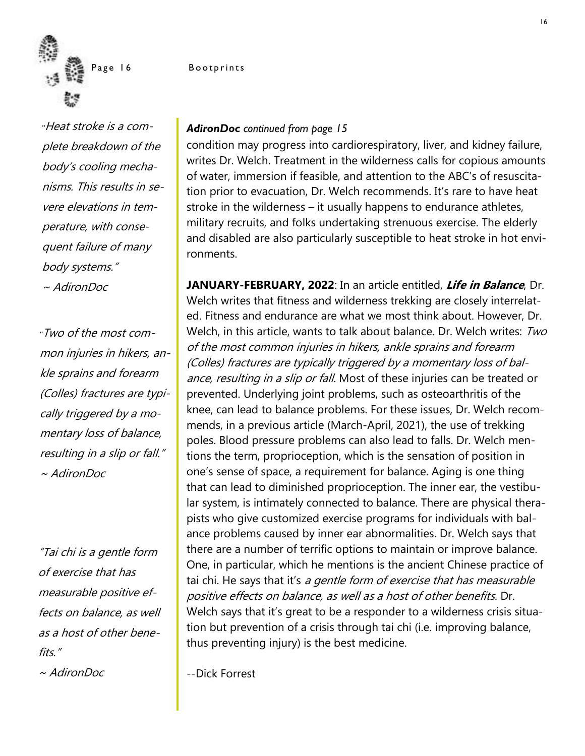

*"*Heat stroke is a complete breakdown of the body's cooling mechanisms. This results in severe elevations in temperature, with consequent failure of many body systems." ~ AdironDoc

*"*Two of the most common injuries in hikers, ankle sprains and forearm (Colles) fractures are typically triggered by a momentary loss of balance, resulting in a slip or fall." ~ AdironDoc

"Tai chi is a gentle form of exercise that has measurable positive effects on balance, as well as a host of other benefits." ~ AdironDoc

Page 16 Bootprints

### *AdironDoc continued from page 15*

condition may progress into cardiorespiratory, liver, and kidney failure, writes Dr. Welch. Treatment in the wilderness calls for copious amounts of water, immersion if feasible, and attention to the ABC's of resuscitation prior to evacuation, Dr. Welch recommends. It's rare to have heat stroke in the wilderness – it usually happens to endurance athletes, military recruits, and folks undertaking strenuous exercise. The elderly and disabled are also particularly susceptible to heat stroke in hot environments.

**JANUARY-FEBRUARY, 2022**: In an article entitled, **Life in Balance**, Dr. Welch writes that fitness and wilderness trekking are closely interrelated. Fitness and endurance are what we most think about. However, Dr. Welch, in this article, wants to talk about balance. Dr. Welch writes: Two of the most common injuries in hikers, ankle sprains and forearm (Colles) fractures are typically triggered by a momentary loss of balance, resulting in a slip or fall. Most of these injuries can be treated or prevented. Underlying joint problems, such as osteoarthritis of the knee, can lead to balance problems. For these issues, Dr. Welch recommends, in a previous article (March-April, 2021), the use of trekking poles. Blood pressure problems can also lead to falls. Dr. Welch mentions the term, proprioception, which is the sensation of position in one's sense of space, a requirement for balance. Aging is one thing that can lead to diminished proprioception. The inner ear, the vestibular system, is intimately connected to balance. There are physical therapists who give customized exercise programs for individuals with balance problems caused by inner ear abnormalities. Dr. Welch says that there are a number of terrific options to maintain or improve balance. One, in particular, which he mentions is the ancient Chinese practice of tai chi. He says that it's a gentle form of exercise that has measurable positive effects on balance, as well as a host of other benefits. Dr. Welch says that it's great to be a responder to a wilderness crisis situation but prevention of a crisis through tai chi (i.e. improving balance, thus preventing injury) is the best medicine.

--Dick Forrest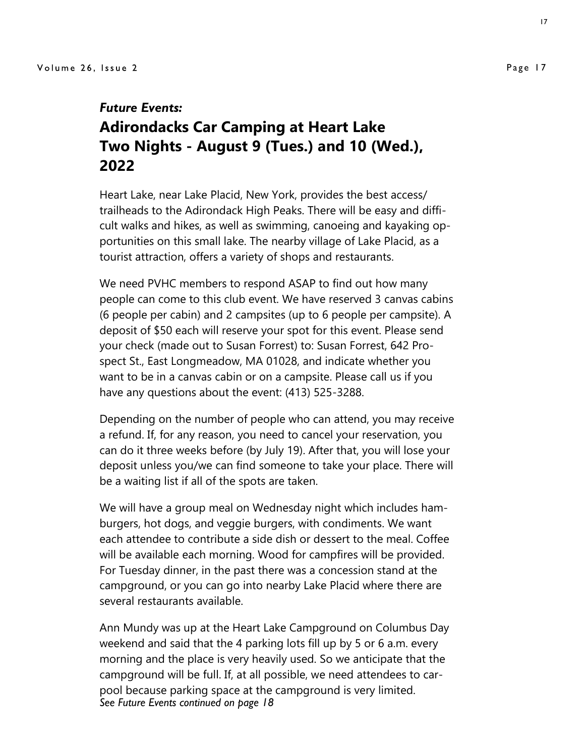### *Future Events:*

### **Adirondacks Car Camping at Heart Lake Two Nights - August 9 (Tues.) and 10 (Wed.), 2022**

Heart Lake, near Lake Placid, New York, provides the best access/ trailheads to the Adirondack High Peaks. There will be easy and difficult walks and hikes, as well as swimming, canoeing and kayaking opportunities on this small lake. The nearby village of Lake Placid, as a tourist attraction, offers a variety of shops and restaurants.

We need PVHC members to respond ASAP to find out how many people can come to this club event. We have reserved 3 canvas cabins (6 people per cabin) and 2 campsites (up to 6 people per campsite). A deposit of \$50 each will reserve your spot for this event. Please send your check (made out to Susan Forrest) to: Susan Forrest, 642 Prospect St., East Longmeadow, MA 01028, and indicate whether you want to be in a canvas cabin or on a campsite. Please call us if you have any questions about the event: (413) 525-3288.

Depending on the number of people who can attend, you may receive a refund. If, for any reason, you need to cancel your reservation, you can do it three weeks before (by July 19). After that, you will lose your deposit unless you/we can find someone to take your place. There will be a waiting list if all of the spots are taken.

We will have a group meal on Wednesday night which includes hamburgers, hot dogs, and veggie burgers, with condiments. We want each attendee to contribute a side dish or dessert to the meal. Coffee will be available each morning. Wood for campfires will be provided. For Tuesday dinner, in the past there was a concession stand at the campground, or you can go into nearby Lake Placid where there are several restaurants available.

Ann Mundy was up at the Heart Lake Campground on Columbus Day weekend and said that the 4 parking lots fill up by 5 or 6 a.m. every morning and the place is very heavily used. So we anticipate that the campground will be full. If, at all possible, we need attendees to carpool because parking space at the campground is very limited. *See Future Events continued on page 18*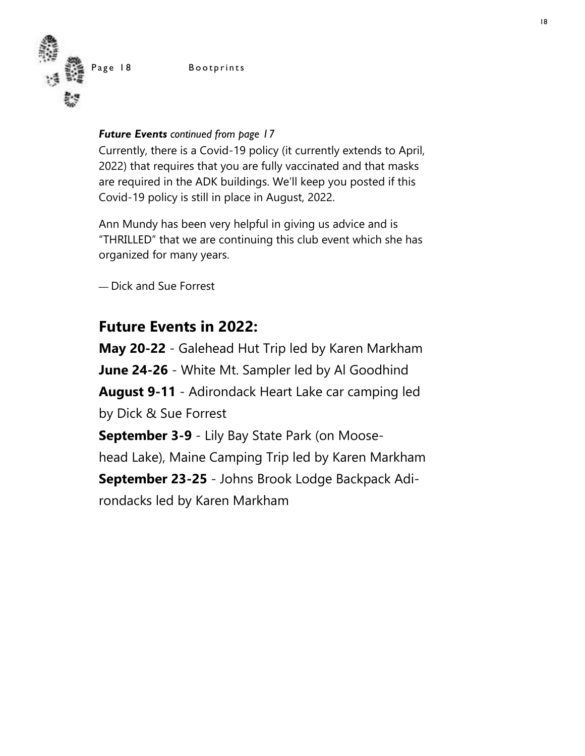Page 18 Bootprints



### *Future Events continued from page 17*

Currently, there is a Covid-19 policy (it currently extends to April, 2022) that requires that you are fully vaccinated and that masks are required in the ADK buildings. We'll keep you posted if this Covid-19 policy is still in place in August, 2022.

Ann Mundy has been very helpful in giving us advice and is "THRILLED" that we are continuing this club event which she has organized for many years.

— Dick and Sue Forrest

### **Future Events in 2022:**

**May 20-22** - Galehead Hut Trip led by Karen Markham **June 24-26** - White Mt. Sampler led by Al Goodhind **August 9-11** - Adirondack Heart Lake car camping led by Dick & Sue Forrest **September 3-9** - Lily Bay State Park (on Moose-

head Lake), Maine Camping Trip led by Karen Markham

**September 23-25** - Johns Brook Lodge Backpack Adirondacks led by Karen Markham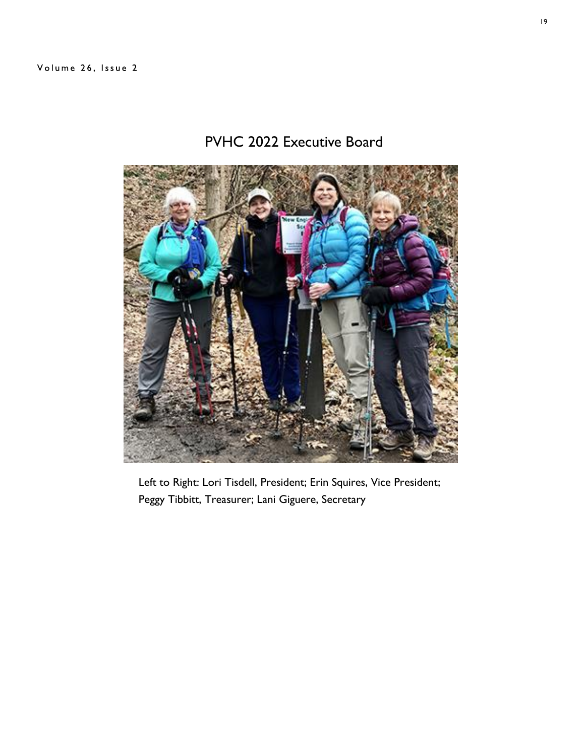### PVHC 2022 Executive Board



Left to Right: Lori Tisdell, President; Erin Squires, Vice President; Peggy Tibbitt, Treasurer; Lani Giguere, Secretary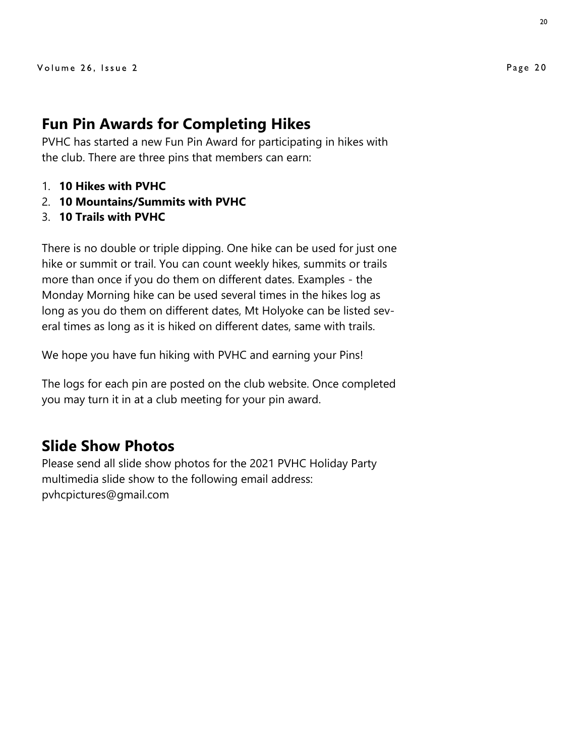### **Fun Pin Awards for Completing Hikes**

PVHC has started a new Fun Pin Award for participating in hikes with the club. There are three pins that members can earn:

- 1. **10 Hikes with PVHC**
- 2. **10 Mountains/Summits with PVHC**
- 3. **10 Trails with PVHC**

There is no double or triple dipping. One hike can be used for just one hike or summit or trail. You can count weekly hikes, summits or trails more than once if you do them on different dates. Examples - the Monday Morning hike can be used several times in the hikes log as long as you do them on different dates, Mt Holyoke can be listed several times as long as it is hiked on different dates, same with trails.

We hope you have fun hiking with PVHC and earning your Pins!

The logs for each pin are posted on the club website. Once completed you may turn it in at a club meeting for your pin award.

### **Slide Show Photos**

Please send all slide show photos for the 2021 PVHC Holiday Party multimedia slide show to the following email address: pvhcpictures@gmail.com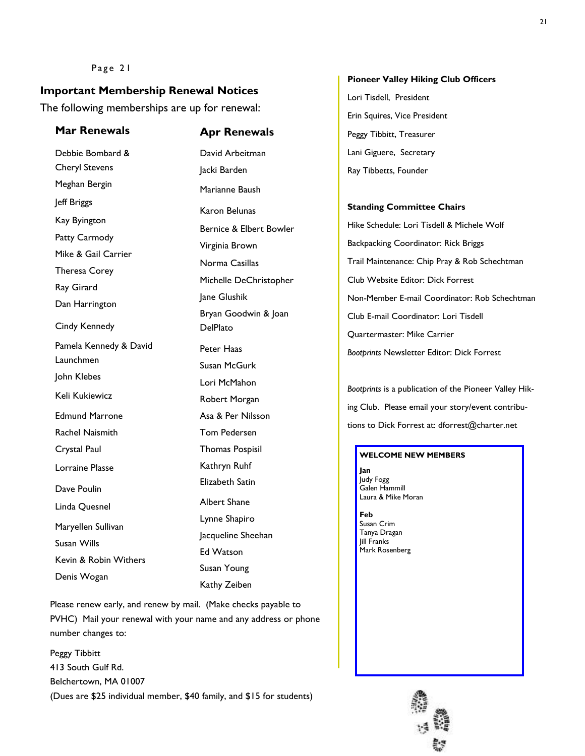#### Page 21

### **Important Membership Renewal Notices**

The following memberships are up for renewal:

### **Mar Renewals Apr Renewals**

Debbie Bombard & Cheryl Stevens Meghan Bergin Jeff Briggs Kay Byington Patty Carmody Mike & Gail Carrier Theresa Corey Ray Girard Dan Harrington Cindy Kennedy Pamela Kennedy & David Launchmen John Klebes Keli Kukiewicz Edmund Marrone Rachel Naismith Crystal Paul Lorraine Plasse Dave Poulin Linda Quesnel Maryellen Sullivan Susan Wills Kevin & Robin Withers Denis Wogan David Arbeitman Jacki Barden Marianne Baush Karon Belunas Bernice & Elbert Bowler Virginia Brown Norma Casillas Michelle DeChristopher Jane Glushik Bryan Goodwin & Joan DelPlato Peter Haas Susan McGurk Lori McMahon Robert Morgan Asa & Per Nilsson Tom Pedersen Thomas Pospisil Kathryn Ruhf Elizabeth Satin Albert Shane Lynne Shapiro Jacqueline Sheehan Ed Watson Susan Young Kathy Zeiben

Please renew early, and renew by mail. (Make checks payable to PVHC) Mail your renewal with your name and any address or phone number changes to:

Peggy Tibbitt 413 South Gulf Rd. Belchertown, MA 01007 (Dues are \$25 individual member, \$40 family, and \$15 for students)

#### **Pioneer Valley Hiking Club Officers**

Lori Tisdell, President Erin Squires, Vice President Peggy Tibbitt, Treasurer Lani Giguere, Secretary Ray Tibbetts, Founder

#### **Standing Committee Chairs**

Hike Schedule: Lori Tisdell & Michele Wolf Backpacking Coordinator: Rick Briggs Trail Maintenance: Chip Pray & Rob Schechtman Club Website Editor: Dick Forrest Non-Member E-mail Coordinator: Rob Schechtman Club E-mail Coordinator: Lori Tisdell Quartermaster: Mike Carrier *Bootprints* Newsletter Editor: Dick Forrest

*Bootprints* is a publication of the Pioneer Valley Hiking Club. Please email your story/event contributions to Dick Forrest at: dforrest@charter.net

#### **WELCOME NEW MEMBERS**

**Jan** Judy Fogg Galen Hammill Laura & Mike Moran

**Feb** Susan Crim Tanya Dragan Jill Franks Mark Rosenberg